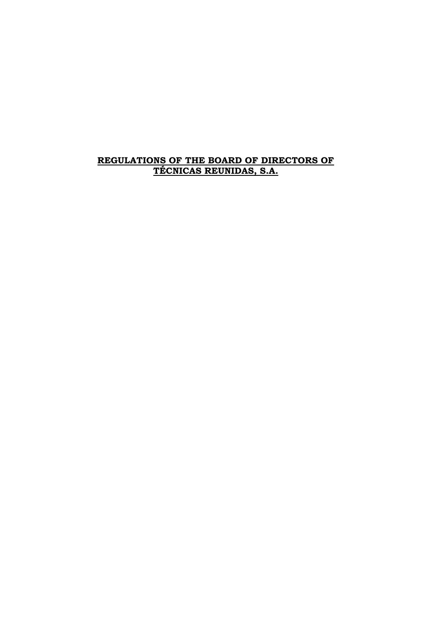# **REGULATIONS OF THE BOARD OF DIRECTORS OF TÉCNICAS REUNIDAS, S.A.**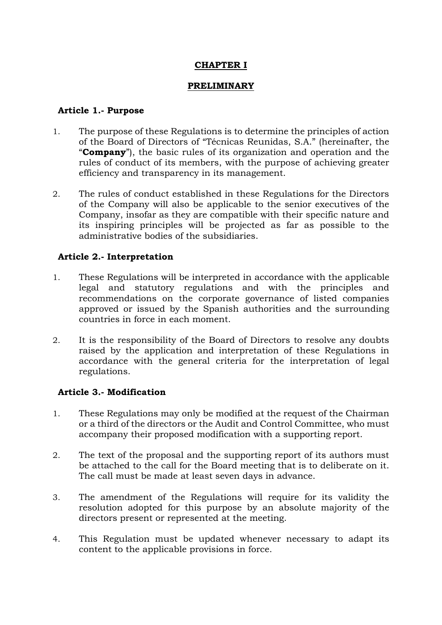## **CHAPTER I**

### **PRELIMINARY**

### **Article 1.- Purpose**

- 1. The purpose of these Regulations is to determine the principles of action of the Board of Directors of "Técnicas Reunidas, S.A." (hereinafter, the "**Company**"), the basic rules of its organization and operation and the rules of conduct of its members, with the purpose of achieving greater efficiency and transparency in its management.
- 2. The rules of conduct established in these Regulations for the Directors of the Company will also be applicable to the senior executives of the Company, insofar as they are compatible with their specific nature and its inspiring principles will be projected as far as possible to the administrative bodies of the subsidiaries.

## **Article 2.- Interpretation**

- 1. These Regulations will be interpreted in accordance with the applicable legal and statutory regulations and with the principles and recommendations on the corporate governance of listed companies approved or issued by the Spanish authorities and the surrounding countries in force in each moment.
- 2. It is the responsibility of the Board of Directors to resolve any doubts raised by the application and interpretation of these Regulations in accordance with the general criteria for the interpretation of legal regulations.

## **Article 3.- Modification**

- 1. These Regulations may only be modified at the request of the Chairman or a third of the directors or the Audit and Control Committee, who must accompany their proposed modification with a supporting report.
- 2. The text of the proposal and the supporting report of its authors must be attached to the call for the Board meeting that is to deliberate on it. The call must be made at least seven days in advance.
- 3. The amendment of the Regulations will require for its validity the resolution adopted for this purpose by an absolute majority of the directors present or represented at the meeting.
- 4. This Regulation must be updated whenever necessary to adapt its content to the applicable provisions in force.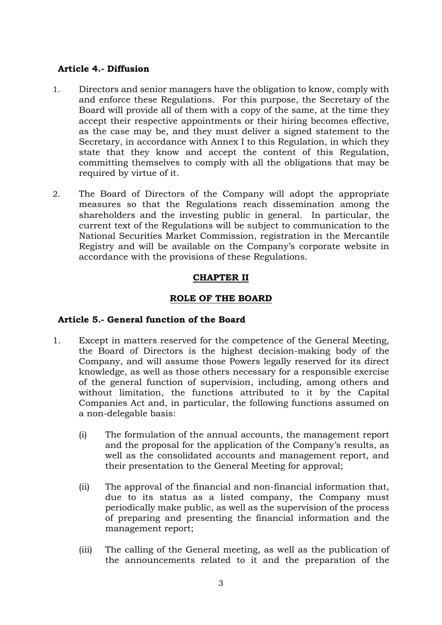#### **Article 4.- Diffusion**

- 1. Directors and senior managers have the obligation to know, comply with and enforce these Regulations. For this purpose, the Secretary of the Board will provide all of them with a copy of the same, at the time they accept their respective appointments or their hiring becomes effective, as the case may be, and they must deliver a signed statement to the Secretary, in accordance with Annex I to this Regulation, in which they state that they know and accept the content of this Regulation, committing themselves to comply with all the obligations that may be required by virtue of it.
- 2. The Board of Directors of the Company will adopt the appropriate measures so that the Regulations reach dissemination among the shareholders and the investing public in general. In particular, the current text of the Regulations will be subject to communication to the National Securities Market Commission, registration in the Mercantile Registry and will be available on the Company's corporate website in accordance with the provisions of these Regulations.

# **CHAPTER II**

## **ROLE OF THE BOARD**

## **Article 5.- General function of the Board**

- 1. Except in matters reserved for the competence of the General Meeting, the Board of Directors is the highest decision-making body of the Company, and will assume those Powers legally reserved for its direct knowledge, as well as those others necessary for a responsible exercise of the general function of supervision, including, among others and without limitation, the functions attributed to it by the Capital Companies Act and, in particular, the following functions assumed on a non-delegable basis:
	- (i) The formulation of the annual accounts, the management report and the proposal for the application of the Company's results, as well as the consolidated accounts and management report, and their presentation to the General Meeting for approval;
	- (ii) The approval of the financial and non-financial information that, due to its status as a listed company, the Company must periodically make public, as well as the supervision of the process of preparing and presenting the financial information and the management report;
	- (iii) The calling of the General meeting, as well as the publication of the announcements related to it and the preparation of the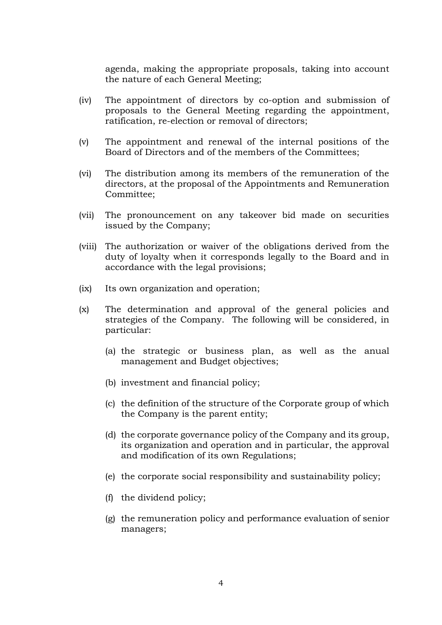agenda, making the appropriate proposals, taking into account the nature of each General Meeting;

- (iv) The appointment of directors by co-option and submission of proposals to the General Meeting regarding the appointment, ratification, re-election or removal of directors;
- (v) The appointment and renewal of the internal positions of the Board of Directors and of the members of the Committees;
- (vi) The distribution among its members of the remuneration of the directors, at the proposal of the Appointments and Remuneration Committee;
- (vii) The pronouncement on any takeover bid made on securities issued by the Company;
- (viii) The authorization or waiver of the obligations derived from the duty of loyalty when it corresponds legally to the Board and in accordance with the legal provisions;
- (ix) Its own organization and operation;
- (x) The determination and approval of the general policies and strategies of the Company. The following will be considered, in particular:
	- (a) the strategic or business plan, as well as the anual management and Budget objectives;
	- (b) investment and financial policy;
	- (c) the definition of the structure of the Corporate group of which the Company is the parent entity;
	- (d) the corporate governance policy of the Company and its group, its organization and operation and in particular, the approval and modification of its own Regulations;
	- (e) the corporate social responsibility and sustainability policy;
	- (f) the dividend policy;
	- (g) the remuneration policy and performance evaluation of senior managers;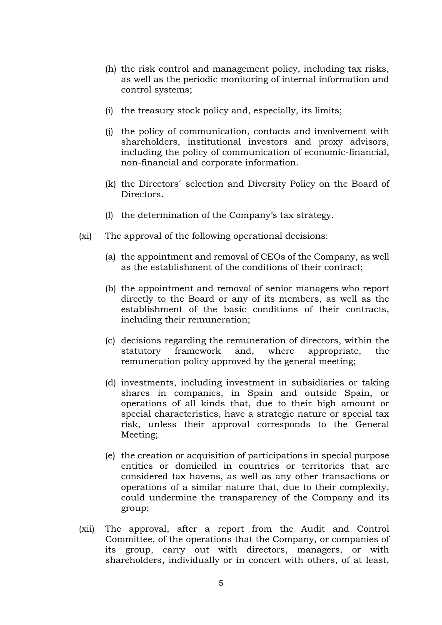- (h) the risk control and management policy, including tax risks, as well as the periodic monitoring of internal information and control systems;
- (i) the treasury stock policy and, especially, its limits;
- (j) the policy of communication, contacts and involvement with shareholders, institutional investors and proxy advisors, including the policy of communication of economic-financial, non-financial and corporate information.
- (k) the Directors´ selection and Diversity Policy on the Board of **Directors**
- (l) the determination of the Company's tax strategy.
- (xi) The approval of the following operational decisions:
	- (a) the appointment and removal of CEOs of the Company, as well as the establishment of the conditions of their contract;
	- (b) the appointment and removal of senior managers who report directly to the Board or any of its members, as well as the establishment of the basic conditions of their contracts, including their remuneration;
	- (c) decisions regarding the remuneration of directors, within the statutory framework and, where appropriate, the remuneration policy approved by the general meeting;
	- (d) investments, including investment in subsidiaries or taking shares in companies, in Spain and outside Spain, or operations of all kinds that, due to their high amount or special characteristics, have a strategic nature or special tax risk, unless their approval corresponds to the General Meeting;
	- (e) the creation or acquisition of participations in special purpose entities or domiciled in countries or territories that are considered tax havens, as well as any other transactions or operations of a similar nature that, due to their complexity, could undermine the transparency of the Company and its group;
- (xii) The approval, after a report from the Audit and Control Committee, of the operations that the Company, or companies of its group, carry out with directors, managers, or with shareholders, individually or in concert with others, of at least,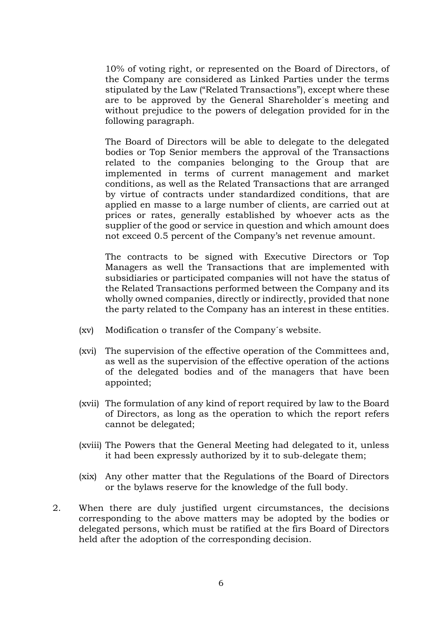10% of voting right, or represented on the Board of Directors, of the Company are considered as Linked Parties under the terms stipulated by the Law ("Related Transactions"), except where these are to be approved by the General Shareholder´s meeting and without prejudice to the powers of delegation provided for in the following paragraph.

The Board of Directors will be able to delegate to the delegated bodies or Top Senior members the approval of the Transactions related to the companies belonging to the Group that are implemented in terms of current management and market conditions, as well as the Related Transactions that are arranged by virtue of contracts under standardized conditions, that are applied en masse to a large number of clients, are carried out at prices or rates, generally established by whoever acts as the supplier of the good or service in question and which amount does not exceed 0.5 percent of the Company's net revenue amount.

The contracts to be signed with Executive Directors or Top Managers as well the Transactions that are implemented with subsidiaries or participated companies will not have the status of the Related Transactions performed between the Company and its wholly owned companies, directly or indirectly, provided that none the party related to the Company has an interest in these entities.

- (xv) Modification o transfer of the Company´s website.
- (xvi) The supervision of the effective operation of the Committees and, as well as the supervision of the effective operation of the actions of the delegated bodies and of the managers that have been appointed;
- (xvii) The formulation of any kind of report required by law to the Board of Directors, as long as the operation to which the report refers cannot be delegated;
- (xviii) The Powers that the General Meeting had delegated to it, unless it had been expressly authorized by it to sub-delegate them;
- (xix) Any other matter that the Regulations of the Board of Directors or the bylaws reserve for the knowledge of the full body.
- 2. When there are duly justified urgent circumstances, the decisions corresponding to the above matters may be adopted by the bodies or delegated persons, which must be ratified at the firs Board of Directors held after the adoption of the corresponding decision.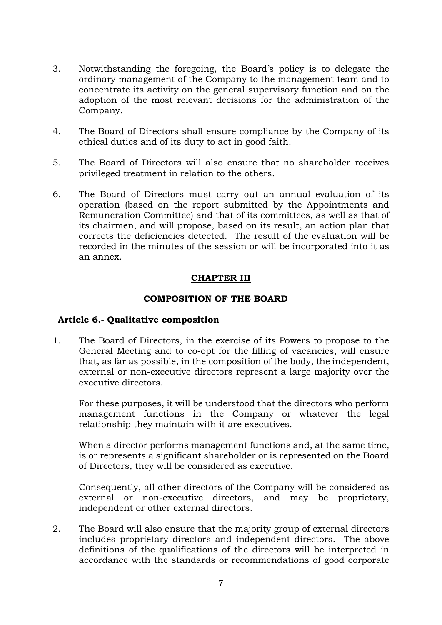- 3. Notwithstanding the foregoing, the Board's policy is to delegate the ordinary management of the Company to the management team and to concentrate its activity on the general supervisory function and on the adoption of the most relevant decisions for the administration of the Company.
- 4. The Board of Directors shall ensure compliance by the Company of its ethical duties and of its duty to act in good faith.
- 5. The Board of Directors will also ensure that no shareholder receives privileged treatment in relation to the others.
- 6. The Board of Directors must carry out an annual evaluation of its operation (based on the report submitted by the Appointments and Remuneration Committee) and that of its committees, as well as that of its chairmen, and will propose, based on its result, an action plan that corrects the deficiencies detected. The result of the evaluation will be recorded in the minutes of the session or will be incorporated into it as an annex.

## **CHAPTER III**

## **COMPOSITION OF THE BOARD**

## **Article 6.- Qualitative composition**

1. The Board of Directors, in the exercise of its Powers to propose to the General Meeting and to co-opt for the filling of vacancies, will ensure that, as far as possible, in the composition of the body, the independent, external or non-executive directors represent a large majority over the executive directors.

For these purposes, it will be understood that the directors who perform management functions in the Company or whatever the legal relationship they maintain with it are executives.

When a director performs management functions and, at the same time, is or represents a significant shareholder or is represented on the Board of Directors, they will be considered as executive.

Consequently, all other directors of the Company will be considered as external or non-executive directors, and may be proprietary, independent or other external directors.

2. The Board will also ensure that the majority group of external directors includes proprietary directors and independent directors. The above definitions of the qualifications of the directors will be interpreted in accordance with the standards or recommendations of good corporate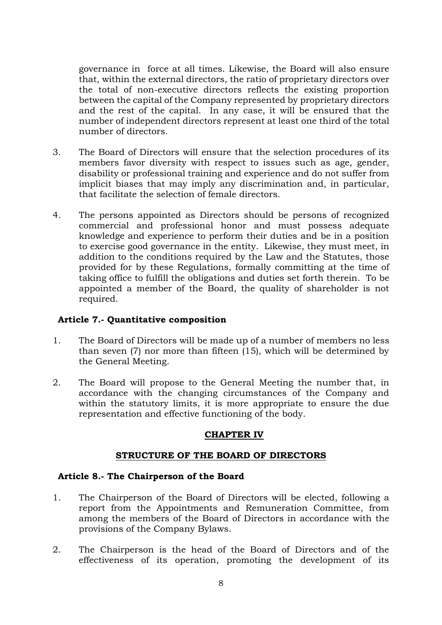governance in force at all times. Likewise, the Board will also ensure that, within the external directors, the ratio of proprietary directors over the total of non-executive directors reflects the existing proportion between the capital of the Company represented by proprietary directors and the rest of the capital. In any case, it will be ensured that the number of independent directors represent at least one third of the total number of directors.

- 3. The Board of Directors will ensure that the selection procedures of its members favor diversity with respect to issues such as age, gender, disability or professional training and experience and do not suffer from implicit biases that may imply any discrimination and, in particular, that facilitate the selection of female directors.
- 4. The persons appointed as Directors should be persons of recognized commercial and professional honor and must possess adequate knowledge and experience to perform their duties and be in a position to exercise good governance in the entity. Likewise, they must meet, in addition to the conditions required by the Law and the Statutes, those provided for by these Regulations, formally committing at the time of taking office to fulfill the obligations and duties set forth therein. To be appointed a member of the Board, the quality of shareholder is not required.

## **Article 7.- Quantitative composition**

- 1. The Board of Directors will be made up of a number of members no less than seven (7) nor more than fifteen (15), which will be determined by the General Meeting.
- 2. The Board will propose to the General Meeting the number that, in accordance with the changing circumstances of the Company and within the statutory limits, it is more appropriate to ensure the due representation and effective functioning of the body.

# **CHAPTER IV**

## **STRUCTURE OF THE BOARD OF DIRECTORS**

## **Article 8.- The Chairperson of the Board**

- 1. The Chairperson of the Board of Directors will be elected, following a report from the Appointments and Remuneration Committee, from among the members of the Board of Directors in accordance with the provisions of the Company Bylaws.
- 2. The Chairperson is the head of the Board of Directors and of the effectiveness of its operation, promoting the development of its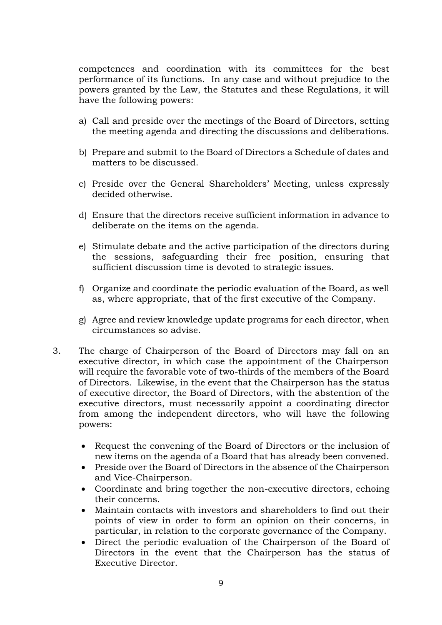competences and coordination with its committees for the best performance of its functions. In any case and without prejudice to the powers granted by the Law, the Statutes and these Regulations, it will have the following powers:

- a) Call and preside over the meetings of the Board of Directors, setting the meeting agenda and directing the discussions and deliberations.
- b) Prepare and submit to the Board of Directors a Schedule of dates and matters to be discussed.
- c) Preside over the General Shareholders' Meeting, unless expressly decided otherwise.
- d) Ensure that the directors receive sufficient information in advance to deliberate on the items on the agenda.
- e) Stimulate debate and the active participation of the directors during the sessions, safeguarding their free position, ensuring that sufficient discussion time is devoted to strategic issues.
- f) Organize and coordinate the periodic evaluation of the Board, as well as, where appropriate, that of the first executive of the Company.
- g) Agree and review knowledge update programs for each director, when circumstances so advise.
- 3. The charge of Chairperson of the Board of Directors may fall on an executive director, in which case the appointment of the Chairperson will require the favorable vote of two-thirds of the members of the Board of Directors. Likewise, in the event that the Chairperson has the status of executive director, the Board of Directors, with the abstention of the executive directors, must necessarily appoint a coordinating director from among the independent directors, who will have the following powers:
	- Request the convening of the Board of Directors or the inclusion of new items on the agenda of a Board that has already been convened.
	- Preside over the Board of Directors in the absence of the Chairperson and Vice-Chairperson.
	- Coordinate and bring together the non-executive directors, echoing their concerns.
	- Maintain contacts with investors and shareholders to find out their points of view in order to form an opinion on their concerns, in particular, in relation to the corporate governance of the Company.
	- Direct the periodic evaluation of the Chairperson of the Board of Directors in the event that the Chairperson has the status of Executive Director.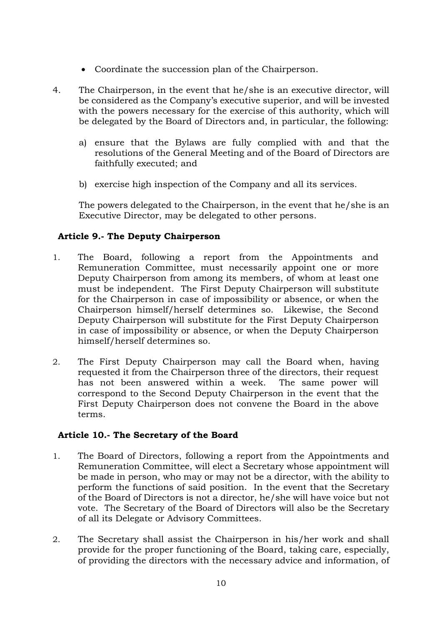- Coordinate the succession plan of the Chairperson.
- 4. The Chairperson, in the event that he/she is an executive director, will be considered as the Company's executive superior, and will be invested with the powers necessary for the exercise of this authority, which will be delegated by the Board of Directors and, in particular, the following:
	- a) ensure that the Bylaws are fully complied with and that the resolutions of the General Meeting and of the Board of Directors are faithfully executed; and
	- b) exercise high inspection of the Company and all its services.

The powers delegated to the Chairperson, in the event that he/she is an Executive Director, may be delegated to other persons.

# **Article 9.- The Deputy Chairperson**

- 1. The Board, following a report from the Appointments and Remuneration Committee, must necessarily appoint one or more Deputy Chairperson from among its members, of whom at least one must be independent. The First Deputy Chairperson will substitute for the Chairperson in case of impossibility or absence, or when the Chairperson himself/herself determines so. Likewise, the Second Deputy Chairperson will substitute for the First Deputy Chairperson in case of impossibility or absence, or when the Deputy Chairperson himself/herself determines so.
- 2. The First Deputy Chairperson may call the Board when, having requested it from the Chairperson three of the directors, their request has not been answered within a week. The same power will correspond to the Second Deputy Chairperson in the event that the First Deputy Chairperson does not convene the Board in the above terms.

# **Article 10.- The Secretary of the Board**

- 1. The Board of Directors, following a report from the Appointments and Remuneration Committee, will elect a Secretary whose appointment will be made in person, who may or may not be a director, with the ability to perform the functions of said position. In the event that the Secretary of the Board of Directors is not a director, he/she will have voice but not vote. The Secretary of the Board of Directors will also be the Secretary of all its Delegate or Advisory Committees.
- 2. The Secretary shall assist the Chairperson in his/her work and shall provide for the proper functioning of the Board, taking care, especially, of providing the directors with the necessary advice and information, of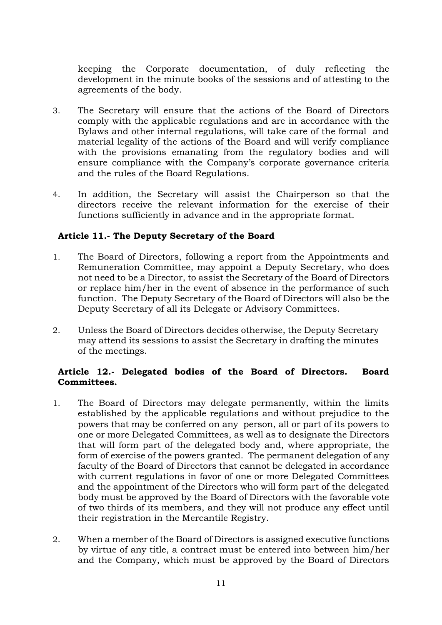keeping the Corporate documentation, of duly reflecting the development in the minute books of the sessions and of attesting to the agreements of the body.

- 3. The Secretary will ensure that the actions of the Board of Directors comply with the applicable regulations and are in accordance with the Bylaws and other internal regulations, will take care of the formal and material legality of the actions of the Board and will verify compliance with the provisions emanating from the regulatory bodies and will ensure compliance with the Company's corporate governance criteria and the rules of the Board Regulations.
- 4. In addition, the Secretary will assist the Chairperson so that the directors receive the relevant information for the exercise of their functions sufficiently in advance and in the appropriate format.

## **Article 11.- The Deputy Secretary of the Board**

- 1. The Board of Directors, following a report from the Appointments and Remuneration Committee, may appoint a Deputy Secretary, who does not need to be a Director, to assist the Secretary of the Board of Directors or replace him/her in the event of absence in the performance of such function. The Deputy Secretary of the Board of Directors will also be the Deputy Secretary of all its Delegate or Advisory Committees.
- 2. Unless the Board of Directors decides otherwise, the Deputy Secretary may attend its sessions to assist the Secretary in drafting the minutes of the meetings.

## **Article 12.- Delegated bodies of the Board of Directors. Board Committees.**

- 1. The Board of Directors may delegate permanently, within the limits established by the applicable regulations and without prejudice to the powers that may be conferred on any person, all or part of its powers to one or more Delegated Committees, as well as to designate the Directors that will form part of the delegated body and, where appropriate, the form of exercise of the powers granted. The permanent delegation of any faculty of the Board of Directors that cannot be delegated in accordance with current regulations in favor of one or more Delegated Committees and the appointment of the Directors who will form part of the delegated body must be approved by the Board of Directors with the favorable vote of two thirds of its members, and they will not produce any effect until their registration in the Mercantile Registry.
- 2. When a member of the Board of Directors is assigned executive functions by virtue of any title, a contract must be entered into between him/her and the Company, which must be approved by the Board of Directors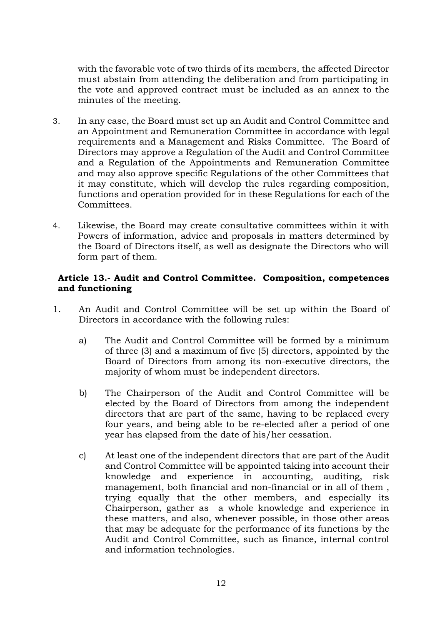with the favorable vote of two thirds of its members, the affected Director must abstain from attending the deliberation and from participating in the vote and approved contract must be included as an annex to the minutes of the meeting.

- 3. In any case, the Board must set up an Audit and Control Committee and an Appointment and Remuneration Committee in accordance with legal requirements and a Management and Risks Committee. The Board of Directors may approve a Regulation of the Audit and Control Committee and a Regulation of the Appointments and Remuneration Committee and may also approve specific Regulations of the other Committees that it may constitute, which will develop the rules regarding composition, functions and operation provided for in these Regulations for each of the Committees.
- 4. Likewise, the Board may create consultative committees within it with Powers of information, advice and proposals in matters determined by the Board of Directors itself, as well as designate the Directors who will form part of them.

## **Article 13.- Audit and Control Committee. Composition, competences and functioning**

- 1. An Audit and Control Committee will be set up within the Board of Directors in accordance with the following rules:
	- a) The Audit and Control Committee will be formed by a minimum of three (3) and a maximum of five (5) directors, appointed by the Board of Directors from among its non-executive directors, the majority of whom must be independent directors.
	- b) The Chairperson of the Audit and Control Committee will be elected by the Board of Directors from among the independent directors that are part of the same, having to be replaced every four years, and being able to be re-elected after a period of one year has elapsed from the date of his/her cessation.
	- c) At least one of the independent directors that are part of the Audit and Control Committee will be appointed taking into account their knowledge and experience in accounting, auditing, risk management, both financial and non-financial or in all of them , trying equally that the other members, and especially its Chairperson, gather as a whole knowledge and experience in these matters, and also, whenever possible, in those other areas that may be adequate for the performance of its functions by the Audit and Control Committee, such as finance, internal control and information technologies.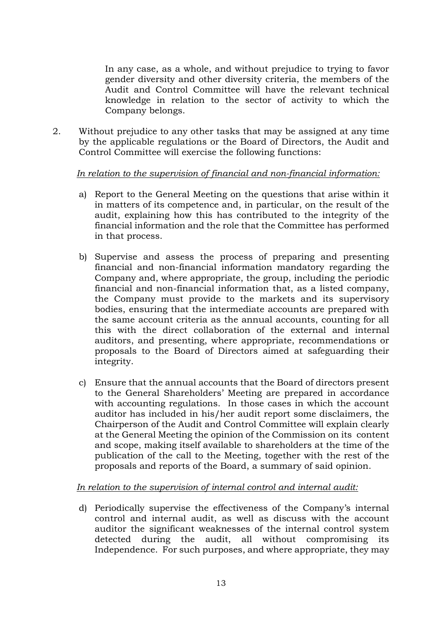In any case, as a whole, and without prejudice to trying to favor gender diversity and other diversity criteria, the members of the Audit and Control Committee will have the relevant technical knowledge in relation to the sector of activity to which the Company belongs.

2. Without prejudice to any other tasks that may be assigned at any time by the applicable regulations or the Board of Directors, the Audit and Control Committee will exercise the following functions:

## *In relation to the supervision of financial and non-financial information:*

- a) Report to the General Meeting on the questions that arise within it in matters of its competence and, in particular, on the result of the audit, explaining how this has contributed to the integrity of the financial information and the role that the Committee has performed in that process.
- b) Supervise and assess the process of preparing and presenting financial and non-financial information mandatory regarding the Company and, where appropriate, the group, including the periodic financial and non-financial information that, as a listed company, the Company must provide to the markets and its supervisory bodies, ensuring that the intermediate accounts are prepared with the same account criteria as the annual accounts, counting for all this with the direct collaboration of the external and internal auditors, and presenting, where appropriate, recommendations or proposals to the Board of Directors aimed at safeguarding their integrity.
- c) Ensure that the annual accounts that the Board of directors present to the General Shareholders' Meeting are prepared in accordance with accounting regulations. In those cases in which the account auditor has included in his/her audit report some disclaimers, the Chairperson of the Audit and Control Committee will explain clearly at the General Meeting the opinion of the Commission on its content and scope, making itself available to shareholders at the time of the publication of the call to the Meeting, together with the rest of the proposals and reports of the Board, a summary of said opinion.

# *In relation to the supervision of internal control and internal audit:*

d) Periodically supervise the effectiveness of the Company's internal control and internal audit, as well as discuss with the account auditor the significant weaknesses of the internal control system detected during the audit, all without compromising its Independence. For such purposes, and where appropriate, they may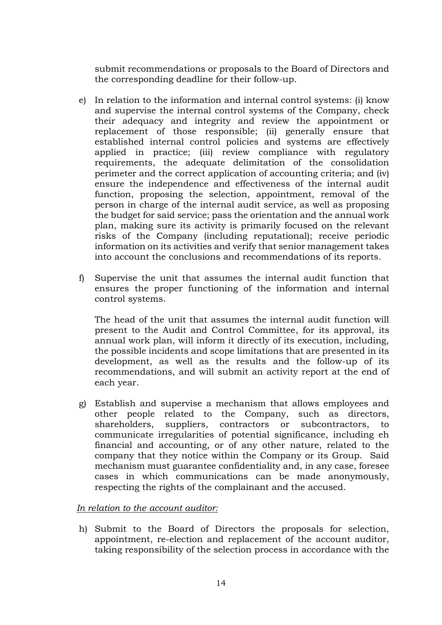submit recommendations or proposals to the Board of Directors and the corresponding deadline for their follow-up.

- e) In relation to the information and internal control systems: (i) know and supervise the internal control systems of the Company, check their adequacy and integrity and review the appointment or replacement of those responsible; (ii) generally ensure that established internal control policies and systems are effectively applied in practice; (iii) review compliance with regulatory requirements, the adequate delimitation of the consolidation perimeter and the correct application of accounting criteria; and (iv) ensure the independence and effectiveness of the internal audit function, proposing the selection, appointment, removal of the person in charge of the internal audit service, as well as proposing the budget for said service; pass the orientation and the annual work plan, making sure its activity is primarily focused on the relevant risks of the Company (including reputational); receive periodic information on its activities and verify that senior management takes into account the conclusions and recommendations of its reports.
- f) Supervise the unit that assumes the internal audit function that ensures the proper functioning of the information and internal control systems.

The head of the unit that assumes the internal audit function will present to the Audit and Control Committee, for its approval, its annual work plan, will inform it directly of its execution, including, the possible incidents and scope limitations that are presented in its development, as well as the results and the follow-up of its recommendations, and will submit an activity report at the end of each year.

g) Establish and supervise a mechanism that allows employees and other people related to the Company, such as directors, shareholders, suppliers, contractors or subcontractors, to communicate irregularities of potential significance, including eh financial and accounting, or of any other nature, related to the company that they notice within the Company or its Group. Said mechanism must guarantee confidentiality and, in any case, foresee cases in which communications can be made anonymously, respecting the rights of the complainant and the accused.

## *In relation to the account auditor:*

h) Submit to the Board of Directors the proposals for selection, appointment, re-election and replacement of the account auditor, taking responsibility of the selection process in accordance with the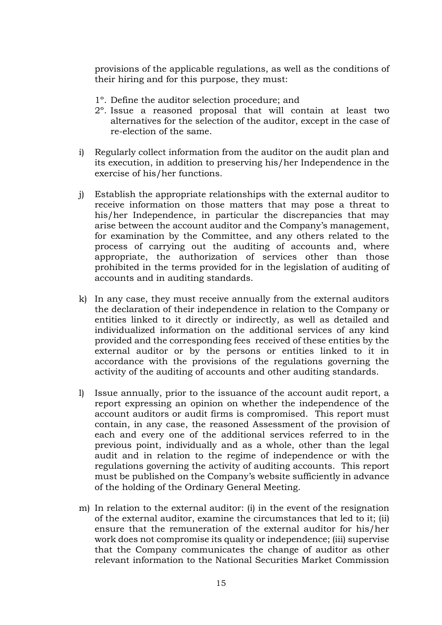provisions of the applicable regulations, as well as the conditions of their hiring and for this purpose, they must:

- 1º. Define the auditor selection procedure; and
- 2º. Issue a reasoned proposal that will contain at least two alternatives for the selection of the auditor, except in the case of re-election of the same.
- i) Regularly collect information from the auditor on the audit plan and its execution, in addition to preserving his/her Independence in the exercise of his/her functions.
- j) Establish the appropriate relationships with the external auditor to receive information on those matters that may pose a threat to his/her Independence, in particular the discrepancies that may arise between the account auditor and the Company's management, for examination by the Committee, and any others related to the process of carrying out the auditing of accounts and, where appropriate, the authorization of services other than those prohibited in the terms provided for in the legislation of auditing of accounts and in auditing standards.
- k) In any case, they must receive annually from the external auditors the declaration of their independence in relation to the Company or entities linked to it directly or indirectly, as well as detailed and individualized information on the additional services of any kind provided and the corresponding fees received of these entities by the external auditor or by the persons or entities linked to it in accordance with the provisions of the regulations governing the activity of the auditing of accounts and other auditing standards.
- l) Issue annually, prior to the issuance of the account audit report, a report expressing an opinion on whether the independence of the account auditors or audit firms is compromised. This report must contain, in any case, the reasoned Assessment of the provision of each and every one of the additional services referred to in the previous point, individually and as a whole, other than the legal audit and in relation to the regime of independence or with the regulations governing the activity of auditing accounts. This report must be published on the Company's website sufficiently in advance of the holding of the Ordinary General Meeting.
- m) In relation to the external auditor: (i) in the event of the resignation of the external auditor, examine the circumstances that led to it; (ii) ensure that the remuneration of the external auditor for his/her work does not compromise its quality or independence; (iii) supervise that the Company communicates the change of auditor as other relevant information to the National Securities Market Commission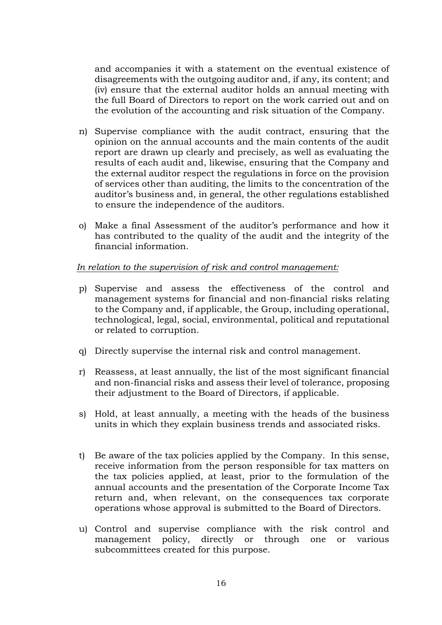and accompanies it with a statement on the eventual existence of disagreements with the outgoing auditor and, if any, its content; and (iv) ensure that the external auditor holds an annual meeting with the full Board of Directors to report on the work carried out and on the evolution of the accounting and risk situation of the Company.

- n) Supervise compliance with the audit contract, ensuring that the opinion on the annual accounts and the main contents of the audit report are drawn up clearly and precisely, as well as evaluating the results of each audit and, likewise, ensuring that the Company and the external auditor respect the regulations in force on the provision of services other than auditing, the limits to the concentration of the auditor's business and, in general, the other regulations established to ensure the independence of the auditors.
- o) Make a final Assessment of the auditor's performance and how it has contributed to the quality of the audit and the integrity of the financial information.

## *In relation to the supervision of risk and control management:*

- p) Supervise and assess the effectiveness of the control and management systems for financial and non-financial risks relating to the Company and, if applicable, the Group, including operational, technological, legal, social, environmental, political and reputational or related to corruption.
- q) Directly supervise the internal risk and control management.
- r) Reassess, at least annually, the list of the most significant financial and non-financial risks and assess their level of tolerance, proposing their adjustment to the Board of Directors, if applicable.
- s) Hold, at least annually, a meeting with the heads of the business units in which they explain business trends and associated risks.
- t) Be aware of the tax policies applied by the Company. In this sense, receive information from the person responsible for tax matters on the tax policies applied, at least, prior to the formulation of the annual accounts and the presentation of the Corporate Income Tax return and, when relevant, on the consequences tax corporate operations whose approval is submitted to the Board of Directors.
- u) Control and supervise compliance with the risk control and management policy, directly or through one or various subcommittees created for this purpose.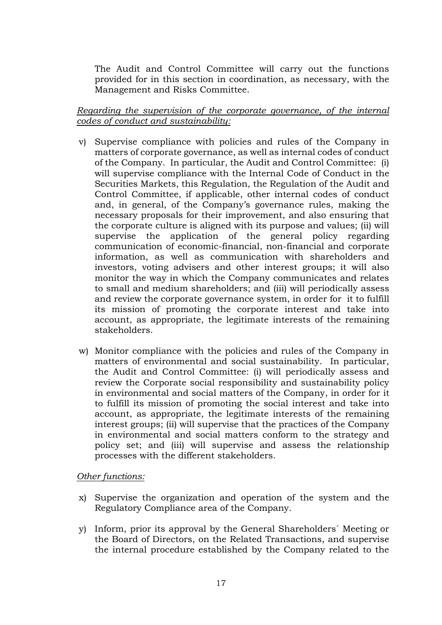The Audit and Control Committee will carry out the functions provided for in this section in coordination, as necessary, with the Management and Risks Committee.

## *Regarding the supervision of the corporate governance, of the internal codes of conduct and sustainability:*

- v) Supervise compliance with policies and rules of the Company in matters of corporate governance, as well as internal codes of conduct of the Company. In particular, the Audit and Control Committee: (i) will supervise compliance with the Internal Code of Conduct in the Securities Markets, this Regulation, the Regulation of the Audit and Control Committee, if applicable, other internal codes of conduct and, in general, of the Company's governance rules, making the necessary proposals for their improvement, and also ensuring that the corporate culture is aligned with its purpose and values; (ii) will supervise the application of the general policy regarding communication of economic-financial, non-financial and corporate information, as well as communication with shareholders and investors, voting advisers and other interest groups; it will also monitor the way in which the Company communicates and relates to small and medium shareholders; and (iii) will periodically assess and review the corporate governance system, in order for it to fulfill its mission of promoting the corporate interest and take into account, as appropriate, the legitimate interests of the remaining stakeholders.
- w) Monitor compliance with the policies and rules of the Company in matters of environmental and social sustainability. In particular, the Audit and Control Committee: (i) will periodically assess and review the Corporate social responsibility and sustainability policy in environmental and social matters of the Company, in order for it to fulfill its mission of promoting the social interest and take into account, as appropriate, the legitimate interests of the remaining interest groups; (ii) will supervise that the practices of the Company in environmental and social matters conform to the strategy and policy set; and (iii) will supervise and assess the relationship processes with the different stakeholders.

## *Other functions:*

- x) Supervise the organization and operation of the system and the Regulatory Compliance area of the Company.
- y) Inform, prior its approval by the General Shareholders´ Meeting or the Board of Directors, on the Related Transactions, and supervise the internal procedure established by the Company related to the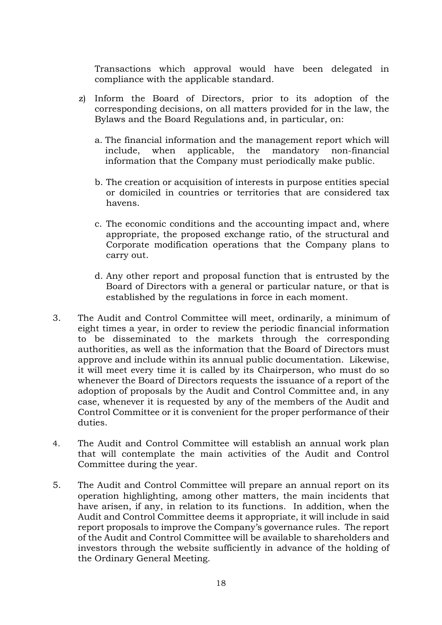Transactions which approval would have been delegated in compliance with the applicable standard.

- z) Inform the Board of Directors, prior to its adoption of the corresponding decisions, on all matters provided for in the law, the Bylaws and the Board Regulations and, in particular, on:
	- a. The financial information and the management report which will include, when applicable, the mandatory non-financial information that the Company must periodically make public.
	- b. The creation or acquisition of interests in purpose entities special or domiciled in countries or territories that are considered tax havens.
	- c. The economic conditions and the accounting impact and, where appropriate, the proposed exchange ratio, of the structural and Corporate modification operations that the Company plans to carry out.
	- d. Any other report and proposal function that is entrusted by the Board of Directors with a general or particular nature, or that is established by the regulations in force in each moment.
- 3. The Audit and Control Committee will meet, ordinarily, a minimum of eight times a year, in order to review the periodic financial information to be disseminated to the markets through the corresponding authorities, as well as the information that the Board of Directors must approve and include within its annual public documentation. Likewise, it will meet every time it is called by its Chairperson, who must do so whenever the Board of Directors requests the issuance of a report of the adoption of proposals by the Audit and Control Committee and, in any case, whenever it is requested by any of the members of the Audit and Control Committee or it is convenient for the proper performance of their duties.
- 4. The Audit and Control Committee will establish an annual work plan that will contemplate the main activities of the Audit and Control Committee during the year.
- 5. The Audit and Control Committee will prepare an annual report on its operation highlighting, among other matters, the main incidents that have arisen, if any, in relation to its functions. In addition, when the Audit and Control Committee deems it appropriate, it will include in said report proposals to improve the Company's governance rules. The report of the Audit and Control Committee will be available to shareholders and investors through the website sufficiently in advance of the holding of the Ordinary General Meeting.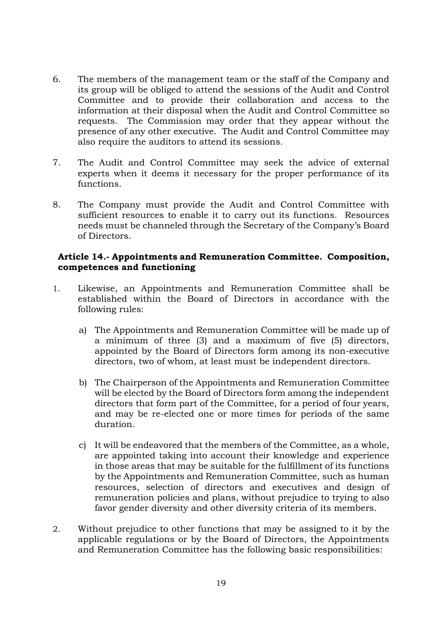- 6. The members of the management team or the staff of the Company and its group will be obliged to attend the sessions of the Audit and Control Committee and to provide their collaboration and access to the information at their disposal when the Audit and Control Committee so requests. The Commission may order that they appear without the presence of any other executive. The Audit and Control Committee may also require the auditors to attend its sessions.
- 7. The Audit and Control Committee may seek the advice of external experts when it deems it necessary for the proper performance of its functions.
- 8. The Company must provide the Audit and Control Committee with sufficient resources to enable it to carry out its functions. Resources needs must be channeled through the Secretary of the Company's Board of Directors.

## **Article 14.- Appointments and Remuneration Committee. Composition, competences and functioning**

- 1. Likewise, an Appointments and Remuneration Committee shall be established within the Board of Directors in accordance with the following rules:
	- a) The Appointments and Remuneration Committee will be made up of a minimum of three (3) and a maximum of five (5) directors, appointed by the Board of Directors form among its non-executive directors, two of whom, at least must be independent directors.
	- b) The Chairperson of the Appointments and Remuneration Committee will be elected by the Board of Directors form among the independent directors that form part of the Committee, for a period of four years, and may be re-elected one or more times for periods of the same duration.
	- c) It will be endeavored that the members of the Committee, as a whole, are appointed taking into account their knowledge and experience in those areas that may be suitable for the fulfillment of its functions by the Appointments and Remuneration Committee, such as human resources, selection of directors and executives and design of remuneration policies and plans, without prejudice to trying to also favor gender diversity and other diversity criteria of its members.
- 2. Without prejudice to other functions that may be assigned to it by the applicable regulations or by the Board of Directors, the Appointments and Remuneration Committee has the following basic responsibilities: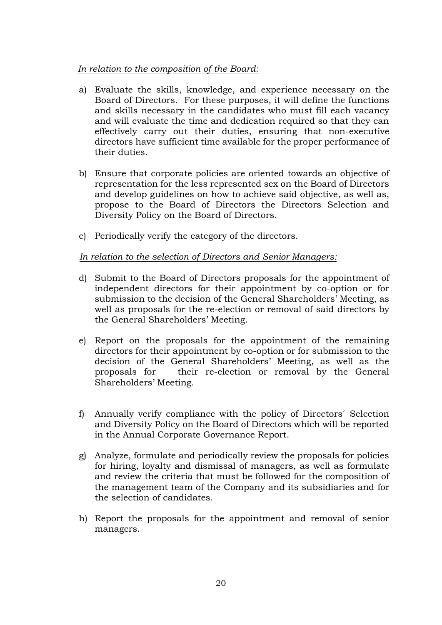## *In relation to the composition of the Board:*

- a) Evaluate the skills, knowledge, and experience necessary on the Board of Directors. For these purposes, it will define the functions and skills necessary in the candidates who must fill each vacancy and will evaluate the time and dedication required so that they can effectively carry out their duties, ensuring that non-executive directors have sufficient time available for the proper performance of their duties.
- b) Ensure that corporate policies are oriented towards an objective of representation for the less represented sex on the Board of Directors and develop guidelines on how to achieve said objective, as well as, propose to the Board of Directors the Directors Selection and Diversity Policy on the Board of Directors.
- c) Periodically verify the category of the directors.

## *In relation to the selection of Directors and Senior Managers:*

- d) Submit to the Board of Directors proposals for the appointment of independent directors for their appointment by co-option or for submission to the decision of the General Shareholders' Meeting, as well as proposals for the re-election or removal of said directors by the General Shareholders' Meeting.
- e) Report on the proposals for the appointment of the remaining directors for their appointment by co-option or for submission to the decision of the General Shareholders' Meeting, as well as the proposals for their re-election or removal by the General Shareholders' Meeting.
- f) Annually verify compliance with the policy of Directors´ Selection and Diversity Policy on the Board of Directors which will be reported in the Annual Corporate Governance Report.
- g) Analyze, formulate and periodically review the proposals for policies for hiring, loyalty and dismissal of managers, as well as formulate and review the criteria that must be followed for the composition of the management team of the Company and its subsidiaries and for the selection of candidates.
- h) Report the proposals for the appointment and removal of senior managers.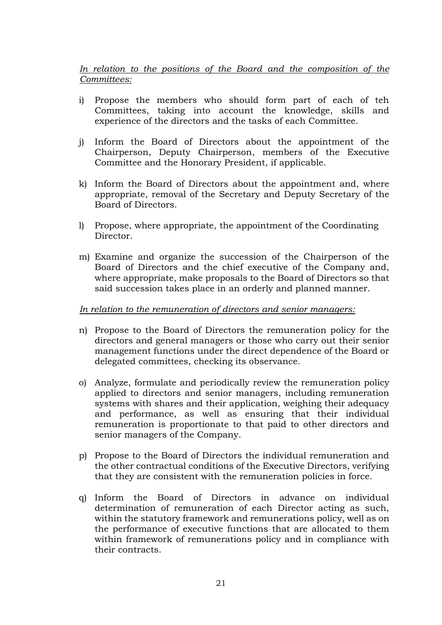## *In relation to the positions of the Board and the composition of the Committees:*

- i) Propose the members who should form part of each of teh Committees, taking into account the knowledge, skills and experience of the directors and the tasks of each Committee.
- j) Inform the Board of Directors about the appointment of the Chairperson, Deputy Chairperson, members of the Executive Committee and the Honorary President, if applicable.
- k) Inform the Board of Directors about the appointment and, where appropriate, removal of the Secretary and Deputy Secretary of the Board of Directors.
- l) Propose, where appropriate, the appointment of the Coordinating Director.
- m) Examine and organize the succession of the Chairperson of the Board of Directors and the chief executive of the Company and, where appropriate, make proposals to the Board of Directors so that said succession takes place in an orderly and planned manner.

## *In relation to the remuneration of directors and senior managers:*

- n) Propose to the Board of Directors the remuneration policy for the directors and general managers or those who carry out their senior management functions under the direct dependence of the Board or delegated committees, checking its observance.
- o) Analyze, formulate and periodically review the remuneration policy applied to directors and senior managers, including remuneration systems with shares and their application, weighing their adequacy and performance, as well as ensuring that their individual remuneration is proportionate to that paid to other directors and senior managers of the Company.
- p) Propose to the Board of Directors the individual remuneration and the other contractual conditions of the Executive Directors, verifying that they are consistent with the remuneration policies in force.
- q) Inform the Board of Directors in advance on individual determination of remuneration of each Director acting as such, within the statutory framework and remunerations policy, well as on the performance of executive functions that are allocated to them within framework of remunerations policy and in compliance with their contracts.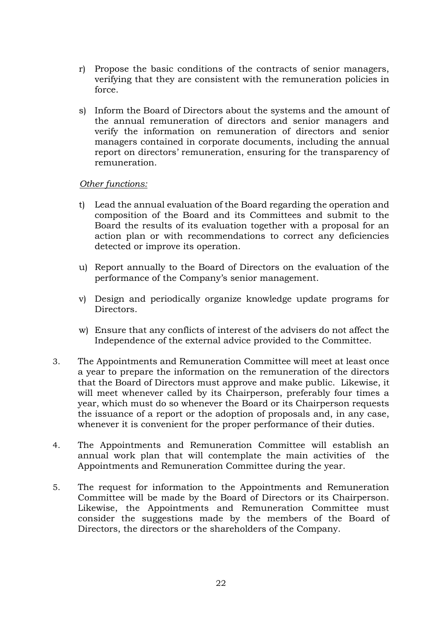- r) Propose the basic conditions of the contracts of senior managers, verifying that they are consistent with the remuneration policies in force.
- s) Inform the Board of Directors about the systems and the amount of the annual remuneration of directors and senior managers and verify the information on remuneration of directors and senior managers contained in corporate documents, including the annual report on directors' remuneration, ensuring for the transparency of remuneration.

#### *Other functions:*

- t) Lead the annual evaluation of the Board regarding the operation and composition of the Board and its Committees and submit to the Board the results of its evaluation together with a proposal for an action plan or with recommendations to correct any deficiencies detected or improve its operation.
- u) Report annually to the Board of Directors on the evaluation of the performance of the Company's senior management.
- v) Design and periodically organize knowledge update programs for Directors.
- w) Ensure that any conflicts of interest of the advisers do not affect the Independence of the external advice provided to the Committee.
- 3. The Appointments and Remuneration Committee will meet at least once a year to prepare the information on the remuneration of the directors that the Board of Directors must approve and make public. Likewise, it will meet whenever called by its Chairperson, preferably four times a year, which must do so whenever the Board or its Chairperson requests the issuance of a report or the adoption of proposals and, in any case, whenever it is convenient for the proper performance of their duties.
- 4. The Appointments and Remuneration Committee will establish an annual work plan that will contemplate the main activities of the Appointments and Remuneration Committee during the year.
- 5. The request for information to the Appointments and Remuneration Committee will be made by the Board of Directors or its Chairperson. Likewise, the Appointments and Remuneration Committee must consider the suggestions made by the members of the Board of Directors, the directors or the shareholders of the Company.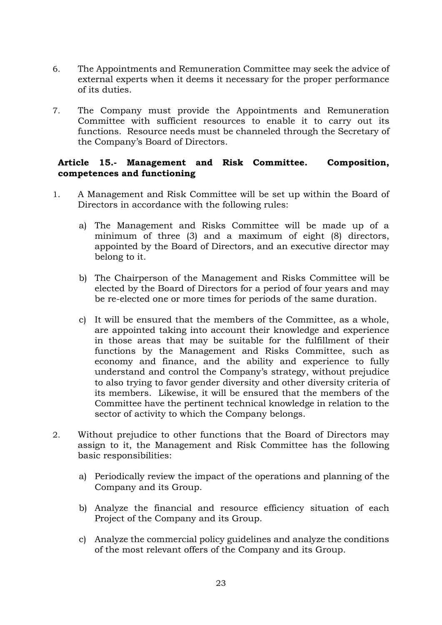- 6. The Appointments and Remuneration Committee may seek the advice of external experts when it deems it necessary for the proper performance of its duties.
- 7. The Company must provide the Appointments and Remuneration Committee with sufficient resources to enable it to carry out its functions. Resource needs must be channeled through the Secretary of the Company's Board of Directors.

## **Article 15.- Management and Risk Committee. Composition, competences and functioning**

- 1. A Management and Risk Committee will be set up within the Board of Directors in accordance with the following rules:
	- a) The Management and Risks Committee will be made up of a minimum of three (3) and a maximum of eight (8) directors, appointed by the Board of Directors, and an executive director may belong to it.
	- b) The Chairperson of the Management and Risks Committee will be elected by the Board of Directors for a period of four years and may be re-elected one or more times for periods of the same duration.
	- c) It will be ensured that the members of the Committee, as a whole, are appointed taking into account their knowledge and experience in those areas that may be suitable for the fulfillment of their functions by the Management and Risks Committee, such as economy and finance, and the ability and experience to fully understand and control the Company's strategy, without prejudice to also trying to favor gender diversity and other diversity criteria of its members. Likewise, it will be ensured that the members of the Committee have the pertinent technical knowledge in relation to the sector of activity to which the Company belongs.
- 2. Without prejudice to other functions that the Board of Directors may assign to it, the Management and Risk Committee has the following basic responsibilities:
	- a) Periodically review the impact of the operations and planning of the Company and its Group.
	- b) Analyze the financial and resource efficiency situation of each Project of the Company and its Group.
	- c) Analyze the commercial policy guidelines and analyze the conditions of the most relevant offers of the Company and its Group.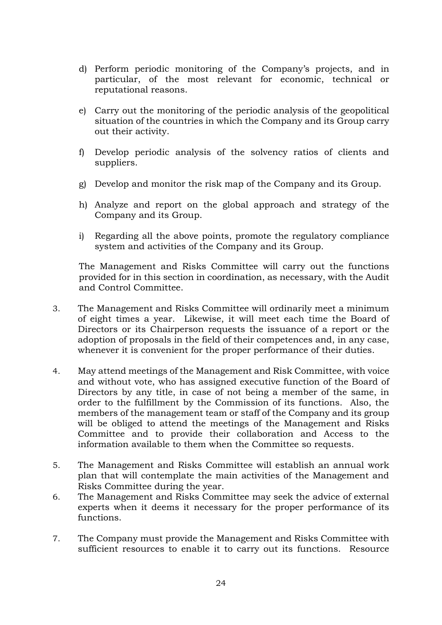- d) Perform periodic monitoring of the Company's projects, and in particular, of the most relevant for economic, technical or reputational reasons.
- e) Carry out the monitoring of the periodic analysis of the geopolitical situation of the countries in which the Company and its Group carry out their activity.
- f) Develop periodic analysis of the solvency ratios of clients and suppliers.
- g) Develop and monitor the risk map of the Company and its Group.
- h) Analyze and report on the global approach and strategy of the Company and its Group.
- i) Regarding all the above points, promote the regulatory compliance system and activities of the Company and its Group.

The Management and Risks Committee will carry out the functions provided for in this section in coordination, as necessary, with the Audit and Control Committee.

- 3. The Management and Risks Committee will ordinarily meet a minimum of eight times a year. Likewise, it will meet each time the Board of Directors or its Chairperson requests the issuance of a report or the adoption of proposals in the field of their competences and, in any case, whenever it is convenient for the proper performance of their duties.
- 4. May attend meetings of the Management and Risk Committee, with voice and without vote, who has assigned executive function of the Board of Directors by any title, in case of not being a member of the same, in order to the fulfillment by the Commission of its functions. Also, the members of the management team or staff of the Company and its group will be obliged to attend the meetings of the Management and Risks Committee and to provide their collaboration and Access to the information available to them when the Committee so requests.
- 5. The Management and Risks Committee will establish an annual work plan that will contemplate the main activities of the Management and Risks Committee during the year.
- 6. The Management and Risks Committee may seek the advice of external experts when it deems it necessary for the proper performance of its functions.
- 7. The Company must provide the Management and Risks Committee with sufficient resources to enable it to carry out its functions. Resource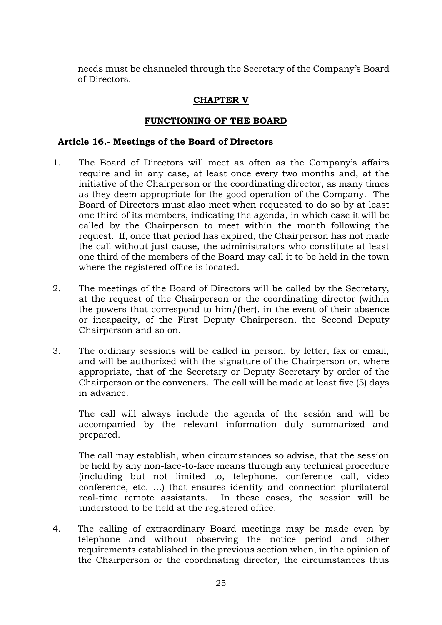needs must be channeled through the Secretary of the Company's Board of Directors.

## **CHAPTER V**

## **FUNCTIONING OF THE BOARD**

### **Article 16.- Meetings of the Board of Directors**

- 1. The Board of Directors will meet as often as the Company's affairs require and in any case, at least once every two months and, at the initiative of the Chairperson or the coordinating director, as many times as they deem appropriate for the good operation of the Company. The Board of Directors must also meet when requested to do so by at least one third of its members, indicating the agenda, in which case it will be called by the Chairperson to meet within the month following the request. If, once that period has expired, the Chairperson has not made the call without just cause, the administrators who constitute at least one third of the members of the Board may call it to be held in the town where the registered office is located.
- 2. The meetings of the Board of Directors will be called by the Secretary, at the request of the Chairperson or the coordinating director (within the powers that correspond to him/(her), in the event of their absence or incapacity, of the First Deputy Chairperson, the Second Deputy Chairperson and so on.
- 3. The ordinary sessions will be called in person, by letter, fax or email, and will be authorized with the signature of the Chairperson or, where appropriate, that of the Secretary or Deputy Secretary by order of the Chairperson or the conveners. The call will be made at least five (5) days in advance.

The call will always include the agenda of the sesión and will be accompanied by the relevant information duly summarized and prepared.

The call may establish, when circumstances so advise, that the session be held by any non-face-to-face means through any technical procedure (including but not limited to, telephone, conference call, video conference, etc. …) that ensures identity and connection plurilateral real-time remote assistants. In these cases, the session will be understood to be held at the registered office.

4. The calling of extraordinary Board meetings may be made even by telephone and without observing the notice period and other requirements established in the previous section when, in the opinion of the Chairperson or the coordinating director, the circumstances thus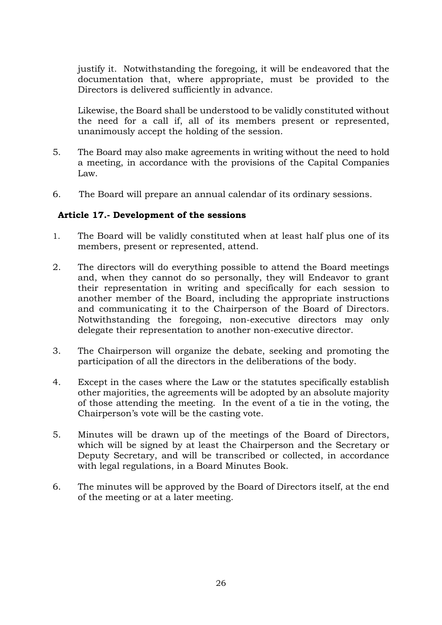justify it. Notwithstanding the foregoing, it will be endeavored that the documentation that, where appropriate, must be provided to the Directors is delivered sufficiently in advance.

Likewise, the Board shall be understood to be validly constituted without the need for a call if, all of its members present or represented, unanimously accept the holding of the session.

- 5. The Board may also make agreements in writing without the need to hold a meeting, in accordance with the provisions of the Capital Companies Law.
- 6. The Board will prepare an annual calendar of its ordinary sessions.

## **Article 17.- Development of the sessions**

- 1. The Board will be validly constituted when at least half plus one of its members, present or represented, attend.
- 2. The directors will do everything possible to attend the Board meetings and, when they cannot do so personally, they will Endeavor to grant their representation in writing and specifically for each session to another member of the Board, including the appropriate instructions and communicating it to the Chairperson of the Board of Directors. Notwithstanding the foregoing, non-executive directors may only delegate their representation to another non-executive director.
- 3. The Chairperson will organize the debate, seeking and promoting the participation of all the directors in the deliberations of the body.
- 4. Except in the cases where the Law or the statutes specifically establish other majorities, the agreements will be adopted by an absolute majority of those attending the meeting. In the event of a tie in the voting, the Chairperson's vote will be the casting vote.
- 5. Minutes will be drawn up of the meetings of the Board of Directors, which will be signed by at least the Chairperson and the Secretary or Deputy Secretary, and will be transcribed or collected, in accordance with legal regulations, in a Board Minutes Book.
- 6. The minutes will be approved by the Board of Directors itself, at the end of the meeting or at a later meeting.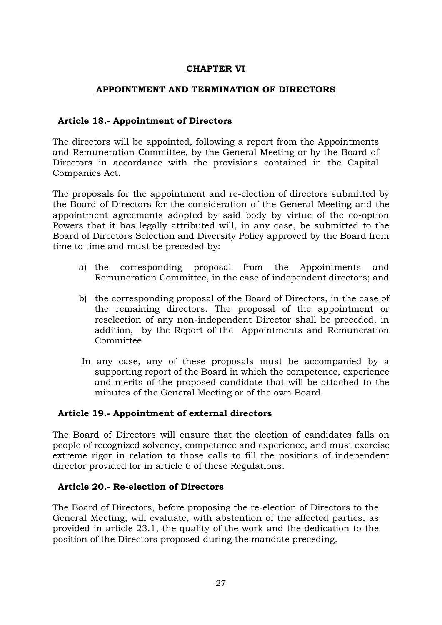## **CHAPTER VI**

#### **APPOINTMENT AND TERMINATION OF DIRECTORS**

### **Article 18.- Appointment of Directors**

The directors will be appointed, following a report from the Appointments and Remuneration Committee, by the General Meeting or by the Board of Directors in accordance with the provisions contained in the Capital Companies Act.

The proposals for the appointment and re-election of directors submitted by the Board of Directors for the consideration of the General Meeting and the appointment agreements adopted by said body by virtue of the co-option Powers that it has legally attributed will, in any case, be submitted to the Board of Directors Selection and Diversity Policy approved by the Board from time to time and must be preceded by:

- a) the corresponding proposal from the Appointments and Remuneration Committee, in the case of independent directors; and
- b) the corresponding proposal of the Board of Directors, in the case of the remaining directors. The proposal of the appointment or reselection of any non-independent Director shall be preceded, in addition, by the Report of the Appointments and Remuneration Committee
- In any case, any of these proposals must be accompanied by a supporting report of the Board in which the competence, experience and merits of the proposed candidate that will be attached to the minutes of the General Meeting or of the own Board.

## **Article 19.- Appointment of external directors**

The Board of Directors will ensure that the election of candidates falls on people of recognized solvency, competence and experience, and must exercise extreme rigor in relation to those calls to fill the positions of independent director provided for in article 6 of these Regulations.

## **Article 20.- Re-election of Directors**

The Board of Directors, before proposing the re-election of Directors to the General Meeting, will evaluate, with abstention of the affected parties, as provided in article 23.1, the quality of the work and the dedication to the position of the Directors proposed during the mandate preceding.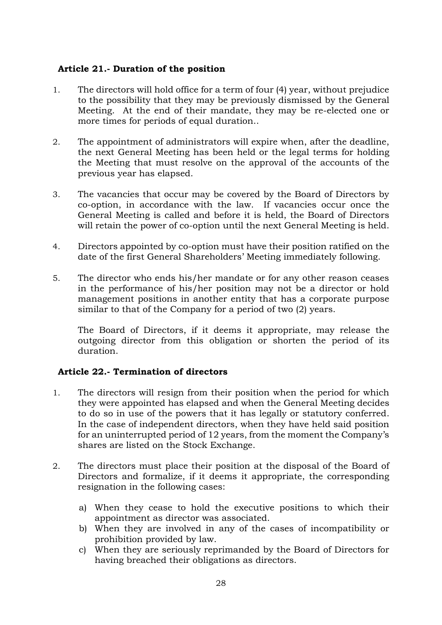## **Article 21.- Duration of the position**

- 1. The directors will hold office for a term of four (4) year, without prejudice to the possibility that they may be previously dismissed by the General Meeting. At the end of their mandate, they may be re-elected one or more times for periods of equal duration..
- 2. The appointment of administrators will expire when, after the deadline, the next General Meeting has been held or the legal terms for holding the Meeting that must resolve on the approval of the accounts of the previous year has elapsed.
- 3. The vacancies that occur may be covered by the Board of Directors by co-option, in accordance with the law. If vacancies occur once the General Meeting is called and before it is held, the Board of Directors will retain the power of co-option until the next General Meeting is held.
- 4. Directors appointed by co-option must have their position ratified on the date of the first General Shareholders' Meeting immediately following.
- 5. The director who ends his/her mandate or for any other reason ceases in the performance of his/her position may not be a director or hold management positions in another entity that has a corporate purpose similar to that of the Company for a period of two (2) years.

The Board of Directors, if it deems it appropriate, may release the outgoing director from this obligation or shorten the period of its duration.

## **Article 22.- Termination of directors**

- 1. The directors will resign from their position when the period for which they were appointed has elapsed and when the General Meeting decides to do so in use of the powers that it has legally or statutory conferred. In the case of independent directors, when they have held said position for an uninterrupted period of 12 years, from the moment the Company's shares are listed on the Stock Exchange.
- 2. The directors must place their position at the disposal of the Board of Directors and formalize, if it deems it appropriate, the corresponding resignation in the following cases:
	- a) When they cease to hold the executive positions to which their appointment as director was associated.
	- b) When they are involved in any of the cases of incompatibility or prohibition provided by law.
	- c) When they are seriously reprimanded by the Board of Directors for having breached their obligations as directors.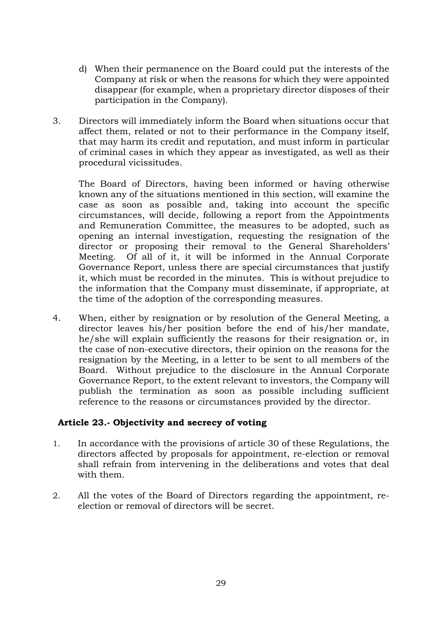- d) When their permanence on the Board could put the interests of the Company at risk or when the reasons for which they were appointed disappear (for example, when a proprietary director disposes of their participation in the Company).
- 3. Directors will immediately inform the Board when situations occur that affect them, related or not to their performance in the Company itself, that may harm its credit and reputation, and must inform in particular of criminal cases in which they appear as investigated, as well as their procedural vicissitudes.

The Board of Directors, having been informed or having otherwise known any of the situations mentioned in this section, will examine the case as soon as possible and, taking into account the specific circumstances, will decide, following a report from the Appointments and Remuneration Committee, the measures to be adopted, such as opening an internal investigation, requesting the resignation of the director or proposing their removal to the General Shareholders' Meeting. Of all of it, it will be informed in the Annual Corporate Governance Report, unless there are special circumstances that justify it, which must be recorded in the minutes. This is without prejudice to the information that the Company must disseminate, if appropriate, at the time of the adoption of the corresponding measures.

4. When, either by resignation or by resolution of the General Meeting, a director leaves his/her position before the end of his/her mandate, he/she will explain sufficiently the reasons for their resignation or, in the case of non-executive directors, their opinion on the reasons for the resignation by the Meeting, in a letter to be sent to all members of the Board. Without prejudice to the disclosure in the Annual Corporate Governance Report, to the extent relevant to investors, the Company will publish the termination as soon as possible including sufficient reference to the reasons or circumstances provided by the director.

## **Article 23.- Objectivity and secrecy of voting**

- 1. In accordance with the provisions of article 30 of these Regulations, the directors affected by proposals for appointment, re-election or removal shall refrain from intervening in the deliberations and votes that deal with them.
- 2. All the votes of the Board of Directors regarding the appointment, reelection or removal of directors will be secret.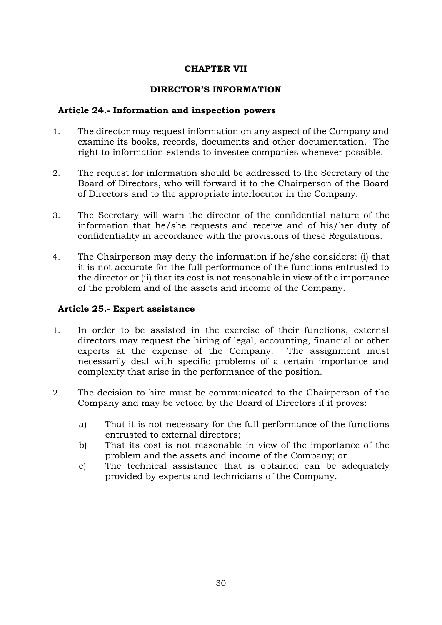## **CHAPTER VII**

## **DIRECTOR'S INFORMATION**

### **Article 24.- Information and inspection powers**

- 1. The director may request information on any aspect of the Company and examine its books, records, documents and other documentation. The right to information extends to investee companies whenever possible.
- 2. The request for information should be addressed to the Secretary of the Board of Directors, who will forward it to the Chairperson of the Board of Directors and to the appropriate interlocutor in the Company.
- 3. The Secretary will warn the director of the confidential nature of the information that he/she requests and receive and of his/her duty of confidentiality in accordance with the provisions of these Regulations.
- 4. The Chairperson may deny the information if he/she considers: (i) that it is not accurate for the full performance of the functions entrusted to the director or (ii) that its cost is not reasonable in view of the importance of the problem and of the assets and income of the Company.

## **Article 25.- Expert assistance**

- 1. In order to be assisted in the exercise of their functions, external directors may request the hiring of legal, accounting, financial or other experts at the expense of the Company. The assignment must necessarily deal with specific problems of a certain importance and complexity that arise in the performance of the position.
- 2. The decision to hire must be communicated to the Chairperson of the Company and may be vetoed by the Board of Directors if it proves:
	- a) That it is not necessary for the full performance of the functions entrusted to external directors;
	- b) That its cost is not reasonable in view of the importance of the problem and the assets and income of the Company; or
	- c) The technical assistance that is obtained can be adequately provided by experts and technicians of the Company.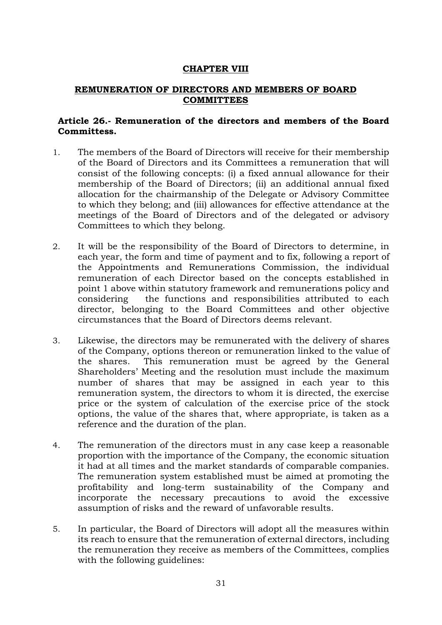### **CHAPTER VIII**

#### **REMUNERATION OF DIRECTORS AND MEMBERS OF BOARD COMMITTEES**

## **Article 26.- Remuneration of the directors and members of the Board Committess.**

- 1. The members of the Board of Directors will receive for their membership of the Board of Directors and its Committees a remuneration that will consist of the following concepts: (i) a fixed annual allowance for their membership of the Board of Directors; (ii) an additional annual fixed allocation for the chairmanship of the Delegate or Advisory Committee to which they belong; and (iii) allowances for effective attendance at the meetings of the Board of Directors and of the delegated or advisory Committees to which they belong.
- 2. It will be the responsibility of the Board of Directors to determine, in each year, the form and time of payment and to fix, following a report of the Appointments and Remunerations Commission, the individual remuneration of each Director based on the concepts established in point 1 above within statutory framework and remunerations policy and considering the functions and responsibilities attributed to each director, belonging to the Board Committees and other objective circumstances that the Board of Directors deems relevant.
- 3. Likewise, the directors may be remunerated with the delivery of shares of the Company, options thereon or remuneration linked to the value of the shares. This remuneration must be agreed by the General Shareholders' Meeting and the resolution must include the maximum number of shares that may be assigned in each year to this remuneration system, the directors to whom it is directed, the exercise price or the system of calculation of the exercise price of the stock options, the value of the shares that, where appropriate, is taken as a reference and the duration of the plan.
- 4. The remuneration of the directors must in any case keep a reasonable proportion with the importance of the Company, the economic situation it had at all times and the market standards of comparable companies. The remuneration system established must be aimed at promoting the profitability and long-term sustainability of the Company and incorporate the necessary precautions to avoid the excessive assumption of risks and the reward of unfavorable results.
- 5. In particular, the Board of Directors will adopt all the measures within its reach to ensure that the remuneration of external directors, including the remuneration they receive as members of the Committees, complies with the following guidelines: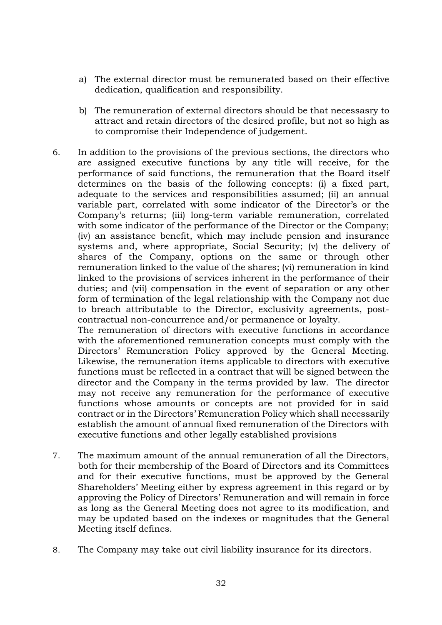- a) The external director must be remunerated based on their effective dedication, qualification and responsibility.
- b) The remuneration of external directors should be that necessasry to attract and retain directors of the desired profile, but not so high as to compromise their Independence of judgement.
- 6. In addition to the provisions of the previous sections, the directors who are assigned executive functions by any title will receive, for the performance of said functions, the remuneration that the Board itself determines on the basis of the following concepts: (i) a fixed part, adequate to the services and responsibilities assumed; (ii) an annual variable part, correlated with some indicator of the Director's or the Company's returns; (iii) long-term variable remuneration, correlated with some indicator of the performance of the Director or the Company; (iv) an assistance benefit, which may include pension and insurance systems and, where appropriate, Social Security; (v) the delivery of shares of the Company, options on the same or through other remuneration linked to the value of the shares; (vi) remuneration in kind linked to the provisions of services inherent in the performance of their duties; and (vii) compensation in the event of separation or any other form of termination of the legal relationship with the Company not due to breach attributable to the Director, exclusivity agreements, postcontractual non-concurrence and/or permanence or loyalty.

The remuneration of directors with executive functions in accordance with the aforementioned remuneration concepts must comply with the Directors' Remuneration Policy approved by the General Meeting. Likewise, the remuneration items applicable to directors with executive functions must be reflected in a contract that will be signed between the director and the Company in the terms provided by law. The director may not receive any remuneration for the performance of executive functions whose amounts or concepts are not provided for in said contract or in the Directors' Remuneration Policy which shall necessarily establish the amount of annual fixed remuneration of the Directors with executive functions and other legally established provisions

- 7. The maximum amount of the annual remuneration of all the Directors, both for their membership of the Board of Directors and its Committees and for their executive functions, must be approved by the General Shareholders' Meeting either by express agreement in this regard or by approving the Policy of Directors' Remuneration and will remain in force as long as the General Meeting does not agree to its modification, and may be updated based on the indexes or magnitudes that the General Meeting itself defines.
- 8. The Company may take out civil liability insurance for its directors.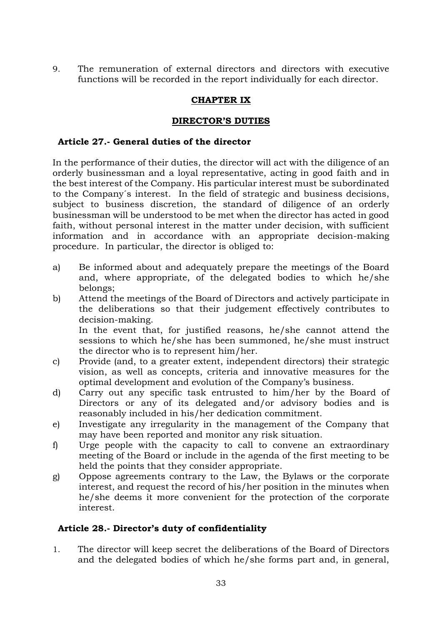9. The remuneration of external directors and directors with executive functions will be recorded in the report individually for each director.

## **CHAPTER IX**

## **DIRECTOR'S DUTIES**

## **Article 27.- General duties of the director**

In the performance of their duties, the director will act with the diligence of an orderly businessman and a loyal representative, acting in good faith and in the best interest of the Company. His particular interest must be subordinated to the Company´s interest. In the field of strategic and business decisions, subject to business discretion, the standard of diligence of an orderly businessman will be understood to be met when the director has acted in good faith, without personal interest in the matter under decision, with sufficient information and in accordance with an appropriate decision-making procedure. In particular, the director is obliged to:

- a) Be informed about and adequately prepare the meetings of the Board and, where appropriate, of the delegated bodies to which he/she belongs;
- b) Attend the meetings of the Board of Directors and actively participate in the deliberations so that their judgement effectively contributes to decision-making. In the event that, for justified reasons, he/she cannot attend the sessions to which he/she has been summoned, he/she must instruct
- the director who is to represent him/her. c) Provide (and, to a greater extent, independent directors) their strategic
- vision, as well as concepts, criteria and innovative measures for the optimal development and evolution of the Company's business.
- d) Carry out any specific task entrusted to him/her by the Board of Directors or any of its delegated and/or advisory bodies and is reasonably included in his/her dedication commitment.
- e) Investigate any irregularity in the management of the Company that may have been reported and monitor any risk situation.
- f) Urge people with the capacity to call to convene an extraordinary meeting of the Board or include in the agenda of the first meeting to be held the points that they consider appropriate.
- g) Oppose agreements contrary to the Law, the Bylaws or the corporate interest, and request the record of his/her position in the minutes when he/she deems it more convenient for the protection of the corporate interest.

## **Article 28.- Director's duty of confidentiality**

1. The director will keep secret the deliberations of the Board of Directors and the delegated bodies of which he/she forms part and, in general,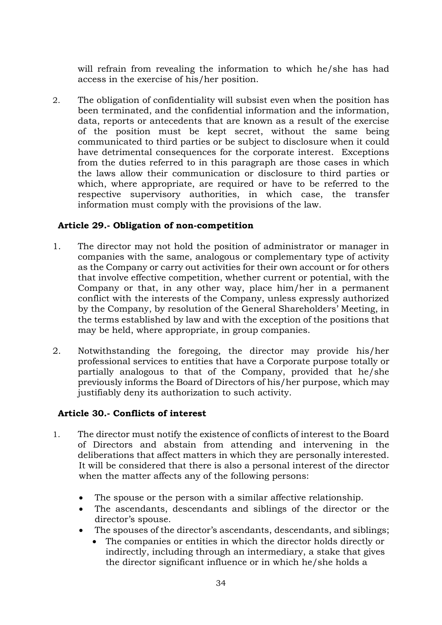will refrain from revealing the information to which he/she has had access in the exercise of his/her position.

2. The obligation of confidentiality will subsist even when the position has been terminated, and the confidential information and the information, data, reports or antecedents that are known as a result of the exercise of the position must be kept secret, without the same being communicated to third parties or be subject to disclosure when it could have detrimental consequences for the corporate interest. Exceptions from the duties referred to in this paragraph are those cases in which the laws allow their communication or disclosure to third parties or which, where appropriate, are required or have to be referred to the respective supervisory authorities, in which case, the transfer information must comply with the provisions of the law.

## **Article 29.- Obligation of non-competition**

- 1. The director may not hold the position of administrator or manager in companies with the same, analogous or complementary type of activity as the Company or carry out activities for their own account or for others that involve effective competition, whether current or potential, with the Company or that, in any other way, place him/her in a permanent conflict with the interests of the Company, unless expressly authorized by the Company, by resolution of the General Shareholders' Meeting, in the terms established by law and with the exception of the positions that may be held, where appropriate, in group companies.
- 2. Notwithstanding the foregoing, the director may provide his/her professional services to entities that have a Corporate purpose totally or partially analogous to that of the Company, provided that he/she previously informs the Board of Directors of his/her purpose, which may justifiably deny its authorization to such activity.

## **Article 30.- Conflicts of interest**

- 1. The director must notify the existence of conflicts of interest to the Board of Directors and abstain from attending and intervening in the deliberations that affect matters in which they are personally interested. It will be considered that there is also a personal interest of the director when the matter affects any of the following persons:
	- The spouse or the person with a similar affective relationship.
	- The ascendants, descendants and siblings of the director or the director's spouse.
	- The spouses of the director's ascendants, descendants, and siblings;
		- The companies or entities in which the director holds directly or indirectly, including through an intermediary, a stake that gives the director significant influence or in which he/she holds a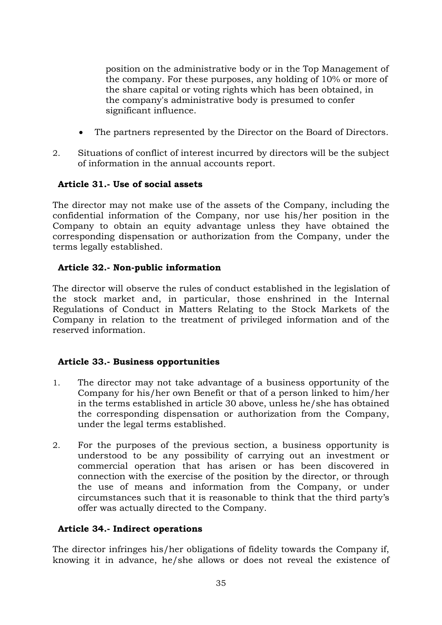position on the administrative body or in the Top Management of the company. For these purposes, any holding of 10% or more of the share capital or voting rights which has been obtained, in the company's administrative body is presumed to confer significant influence.

- The partners represented by the Director on the Board of Directors.
- 2. Situations of conflict of interest incurred by directors will be the subject of information in the annual accounts report.

# **Article 31.- Use of social assets**

The director may not make use of the assets of the Company, including the confidential information of the Company, nor use his/her position in the Company to obtain an equity advantage unless they have obtained the corresponding dispensation or authorization from the Company, under the terms legally established.

# **Article 32.- Non-public information**

The director will observe the rules of conduct established in the legislation of the stock market and, in particular, those enshrined in the Internal Regulations of Conduct in Matters Relating to the Stock Markets of the Company in relation to the treatment of privileged information and of the reserved information.

# **Article 33.- Business opportunities**

- 1. The director may not take advantage of a business opportunity of the Company for his/her own Benefit or that of a person linked to him/her in the terms established in article 30 above, unless he/she has obtained the corresponding dispensation or authorization from the Company, under the legal terms established.
- 2. For the purposes of the previous section, a business opportunity is understood to be any possibility of carrying out an investment or commercial operation that has arisen or has been discovered in connection with the exercise of the position by the director, or through the use of means and information from the Company, or under circumstances such that it is reasonable to think that the third party's offer was actually directed to the Company.

# **Article 34.- Indirect operations**

The director infringes his/her obligations of fidelity towards the Company if, knowing it in advance, he/she allows or does not reveal the existence of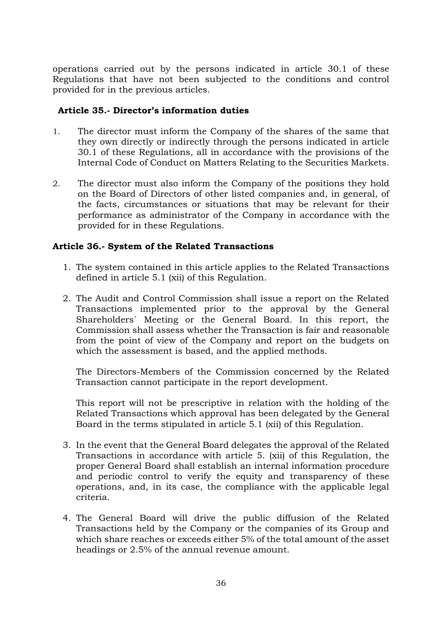operations carried out by the persons indicated in article 30.1 of these Regulations that have not been subjected to the conditions and control provided for in the previous articles.

## **Article 35.- Director's information duties**

- 1. The director must inform the Company of the shares of the same that they own directly or indirectly through the persons indicated in article 30.1 of these Regulations, all in accordance with the provisions of the Internal Code of Conduct on Matters Relating to the Securities Markets.
- 2. The director must also inform the Company of the positions they hold on the Board of Directors of other listed companies and, in general, of the facts, circumstances or situations that may be relevant for their performance as administrator of the Company in accordance with the provided for in these Regulations.

## **Article 36.- System of the Related Transactions**

- 1. The system contained in this article applies to the Related Transactions defined in article 5.1 (xii) of this Regulation.
- 2. The Audit and Control Commission shall issue a report on the Related Transactions implemented prior to the approval by the General Shareholders´ Meeting or the General Board. In this report, the Commission shall assess whether the Transaction is fair and reasonable from the point of view of the Company and report on the budgets on which the assessment is based, and the applied methods.

The Directors-Members of the Commission concerned by the Related Transaction cannot participate in the report development.

This report will not be prescriptive in relation with the holding of the Related Transactions which approval has been delegated by the General Board in the terms stipulated in article 5.1 (xii) of this Regulation.

- 3. In the event that the General Board delegates the approval of the Related Transactions in accordance with article 5. (xii) of this Regulation, the proper General Board shall establish an internal information procedure and periodic control to verify the equity and transparency of these operations, and, in its case, the compliance with the applicable legal criteria.
- 4. The General Board will drive the public diffusion of the Related Transactions held by the Company or the companies of its Group and which share reaches or exceeds either 5% of the total amount of the asset headings or 2.5% of the annual revenue amount.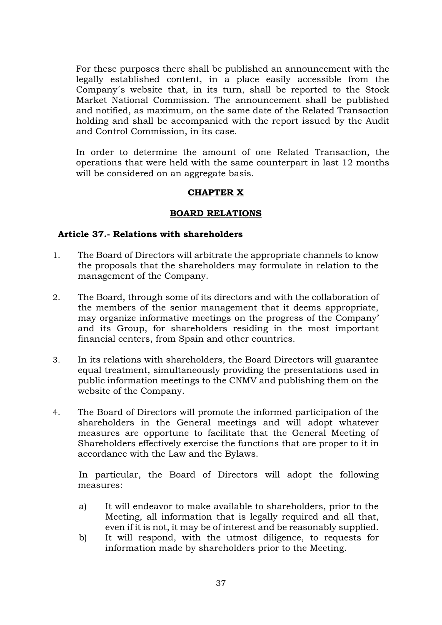For these purposes there shall be published an announcement with the legally established content, in a place easily accessible from the Company´s website that, in its turn, shall be reported to the Stock Market National Commission. The announcement shall be published and notified, as maximum, on the same date of the Related Transaction holding and shall be accompanied with the report issued by the Audit and Control Commission, in its case.

In order to determine the amount of one Related Transaction, the operations that were held with the same counterpart in last 12 months will be considered on an aggregate basis.

## **CHAPTER X**

#### **BOARD RELATIONS**

#### **Article 37.- Relations with shareholders**

- 1. The Board of Directors will arbitrate the appropriate channels to know the proposals that the shareholders may formulate in relation to the management of the Company.
- 2. The Board, through some of its directors and with the collaboration of the members of the senior management that it deems appropriate, may organize informative meetings on the progress of the Company' and its Group, for shareholders residing in the most important financial centers, from Spain and other countries.
- 3. In its relations with shareholders, the Board Directors will guarantee equal treatment, simultaneously providing the presentations used in public information meetings to the CNMV and publishing them on the website of the Company.
- 4. The Board of Directors will promote the informed participation of the shareholders in the General meetings and will adopt whatever measures are opportune to facilitate that the General Meeting of Shareholders effectively exercise the functions that are proper to it in accordance with the Law and the Bylaws.

In particular, the Board of Directors will adopt the following measures:

- a) It will endeavor to make available to shareholders, prior to the Meeting, all information that is legally required and all that, even if it is not, it may be of interest and be reasonably supplied.
- b) It will respond, with the utmost diligence, to requests for information made by shareholders prior to the Meeting.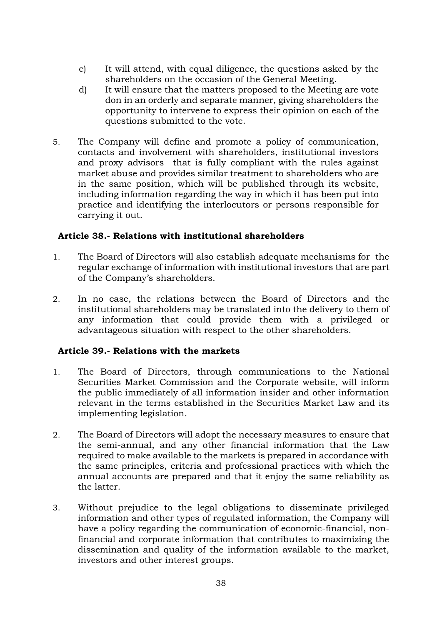- c) It will attend, with equal diligence, the questions asked by the shareholders on the occasion of the General Meeting.
- d) It will ensure that the matters proposed to the Meeting are vote don in an orderly and separate manner, giving shareholders the opportunity to intervene to express their opinion on each of the questions submitted to the vote.
- 5. The Company will define and promote a policy of communication, contacts and involvement with shareholders, institutional investors and proxy advisors that is fully compliant with the rules against market abuse and provides similar treatment to shareholders who are in the same position, which will be published through its website, including information regarding the way in which it has been put into practice and identifying the interlocutors or persons responsible for carrying it out.

## **Article 38.- Relations with institutional shareholders**

- 1. The Board of Directors will also establish adequate mechanisms for the regular exchange of information with institutional investors that are part of the Company's shareholders.
- 2. In no case, the relations between the Board of Directors and the institutional shareholders may be translated into the delivery to them of any information that could provide them with a privileged or advantageous situation with respect to the other shareholders.

# **Article 39.- Relations with the markets**

- 1. The Board of Directors, through communications to the National Securities Market Commission and the Corporate website, will inform the public immediately of all information insider and other information relevant in the terms established in the Securities Market Law and its implementing legislation.
- 2. The Board of Directors will adopt the necessary measures to ensure that the semi-annual, and any other financial information that the Law required to make available to the markets is prepared in accordance with the same principles, criteria and professional practices with which the annual accounts are prepared and that it enjoy the same reliability as the latter.
- 3. Without prejudice to the legal obligations to disseminate privileged information and other types of regulated information, the Company will have a policy regarding the communication of economic-financial, nonfinancial and corporate information that contributes to maximizing the dissemination and quality of the information available to the market, investors and other interest groups.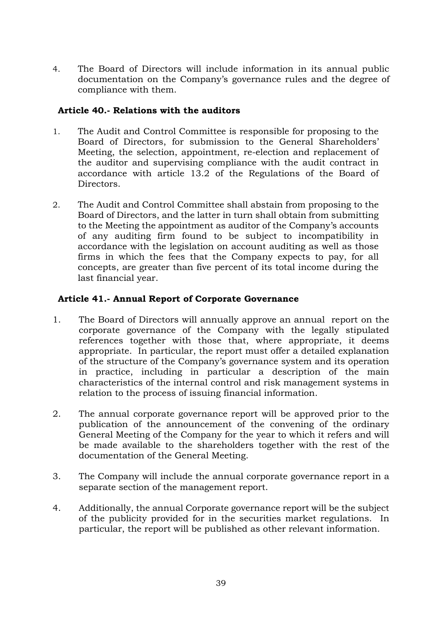4. The Board of Directors will include information in its annual public documentation on the Company's governance rules and the degree of compliance with them.

## **Article 40.- Relations with the auditors**

- 1. The Audit and Control Committee is responsible for proposing to the Board of Directors, for submission to the General Shareholders' Meeting, the selection, appointment, re-election and replacement of the auditor and supervising compliance with the audit contract in accordance with article 13.2 of the Regulations of the Board of Directors.
- 2. The Audit and Control Committee shall abstain from proposing to the Board of Directors, and the latter in turn shall obtain from submitting to the Meeting the appointment as auditor of the Company's accounts of any auditing firm found to be subject to incompatibility in accordance with the legislation on account auditing as well as those firms in which the fees that the Company expects to pay, for all concepts, are greater than five percent of its total income during the last financial year.

# **Article 41.- Annual Report of Corporate Governance**

- 1. The Board of Directors will annually approve an annual report on the corporate governance of the Company with the legally stipulated references together with those that, where appropriate, it deems appropriate. In particular, the report must offer a detailed explanation of the structure of the Company's governance system and its operation in practice, including in particular a description of the main characteristics of the internal control and risk management systems in relation to the process of issuing financial information.
- 2. The annual corporate governance report will be approved prior to the publication of the announcement of the convening of the ordinary General Meeting of the Company for the year to which it refers and will be made available to the shareholders together with the rest of the documentation of the General Meeting.
- 3. The Company will include the annual corporate governance report in a separate section of the management report.
- 4. Additionally, the annual Corporate governance report will be the subject of the publicity provided for in the securities market regulations. In particular, the report will be published as other relevant information.